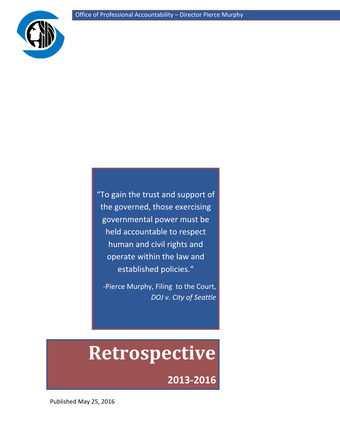

"To gain the trust and support of the governed, those exercising governmental power must be held accountable to respect human and civil rights and operate within the law and established policies."

-Pierce Murphy, Filing to the Court, *DOJ v. City of Seattle*

# **Retrospective**

**2013-2016**

Published May 25, 2016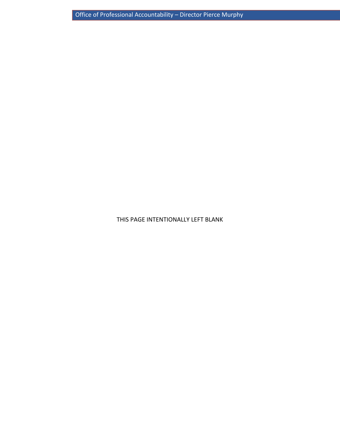THIS PAGE INTENTIONALLY LEFT BLANK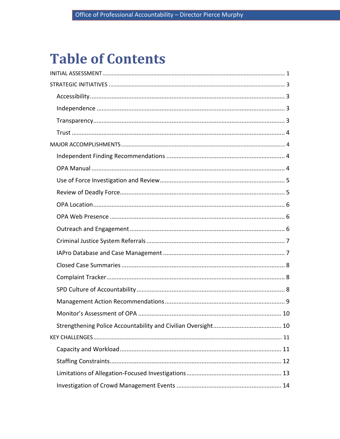## **Table of Contents**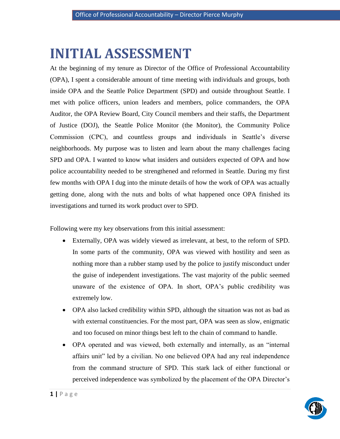## <span id="page-4-0"></span>**INITIAL ASSESSMENT**

At the beginning of my tenure as Director of the Office of Professional Accountability (OPA), I spent a considerable amount of time meeting with individuals and groups, both inside OPA and the Seattle Police Department (SPD) and outside throughout Seattle. I met with police officers, union leaders and members, police commanders, the OPA Auditor, the OPA Review Board, City Council members and their staffs, the Department of Justice (DOJ), the Seattle Police Monitor (the Monitor), the Community Police Commission (CPC), and countless groups and individuals in Seattle's diverse neighborhoods. My purpose was to listen and learn about the many challenges facing SPD and OPA. I wanted to know what insiders and outsiders expected of OPA and how police accountability needed to be strengthened and reformed in Seattle. During my first few months with OPA I dug into the minute details of how the work of OPA was actually getting done, along with the nuts and bolts of what happened once OPA finished its investigations and turned its work product over to SPD.

Following were my key observations from this initial assessment:

- Externally, OPA was widely viewed as irrelevant, at best, to the reform of SPD. In some parts of the community, OPA was viewed with hostility and seen as nothing more than a rubber stamp used by the police to justify misconduct under the guise of independent investigations. The vast majority of the public seemed unaware of the existence of OPA. In short, OPA's public credibility was extremely low.
- OPA also lacked credibility within SPD, although the situation was not as bad as with external constituencies. For the most part, OPA was seen as slow, enigmatic and too focused on minor things best left to the chain of command to handle.
- OPA operated and was viewed, both externally and internally, as an "internal affairs unit" led by a civilian. No one believed OPA had any real independence from the command structure of SPD. This stark lack of either functional or perceived independence was symbolized by the placement of the OPA Director's

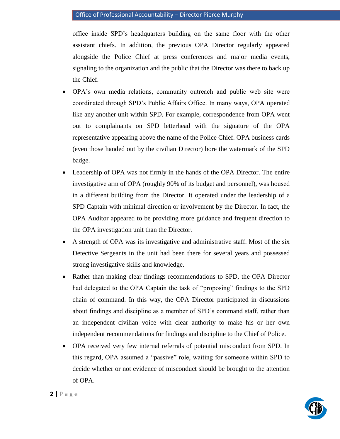office inside SPD's headquarters building on the same floor with the other assistant chiefs. In addition, the previous OPA Director regularly appeared alongside the Police Chief at press conferences and major media events, signaling to the organization and the public that the Director was there to back up the Chief.

- OPA's own media relations, community outreach and public web site were coordinated through SPD's Public Affairs Office. In many ways, OPA operated like any another unit within SPD. For example, correspondence from OPA went out to complainants on SPD letterhead with the signature of the OPA representative appearing above the name of the Police Chief. OPA business cards (even those handed out by the civilian Director) bore the watermark of the SPD badge.
- Leadership of OPA was not firmly in the hands of the OPA Director. The entire investigative arm of OPA (roughly 90% of its budget and personnel), was housed in a different building from the Director. It operated under the leadership of a SPD Captain with minimal direction or involvement by the Director. In fact, the OPA Auditor appeared to be providing more guidance and frequent direction to the OPA investigation unit than the Director.
- A strength of OPA was its investigative and administrative staff. Most of the six Detective Sergeants in the unit had been there for several years and possessed strong investigative skills and knowledge.
- Rather than making clear findings recommendations to SPD, the OPA Director had delegated to the OPA Captain the task of "proposing" findings to the SPD chain of command. In this way, the OPA Director participated in discussions about findings and discipline as a member of SPD's command staff, rather than an independent civilian voice with clear authority to make his or her own independent recommendations for findings and discipline to the Chief of Police.
- OPA received very few internal referrals of potential misconduct from SPD. In this regard, OPA assumed a "passive" role, waiting for someone within SPD to decide whether or not evidence of misconduct should be brought to the attention of OPA.

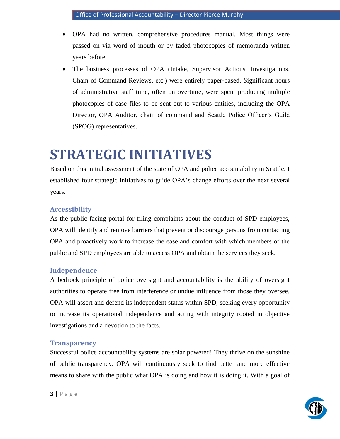- OPA had no written, comprehensive procedures manual. Most things were passed on via word of mouth or by faded photocopies of memoranda written years before.
- The business processes of OPA (Intake, Supervisor Actions, Investigations, Chain of Command Reviews, etc.) were entirely paper-based. Significant hours of administrative staff time, often on overtime, were spent producing multiple photocopies of case files to be sent out to various entities, including the OPA Director, OPA Auditor, chain of command and Seattle Police Officer's Guild (SPOG) representatives.

## <span id="page-6-0"></span>**STRATEGIC INITIATIVES**

Based on this initial assessment of the state of OPA and police accountability in Seattle, I established four strategic initiatives to guide OPA's change efforts over the next several years.

## <span id="page-6-1"></span>**Accessibility**

As the public facing portal for filing complaints about the conduct of SPD employees, OPA will identify and remove barriers that prevent or discourage persons from contacting OPA and proactively work to increase the ease and comfort with which members of the public and SPD employees are able to access OPA and obtain the services they seek.

## <span id="page-6-2"></span>**Independence**

A bedrock principle of police oversight and accountability is the ability of oversight authorities to operate free from interference or undue influence from those they oversee. OPA will assert and defend its independent status within SPD, seeking every opportunity to increase its operational independence and acting with integrity rooted in objective investigations and a devotion to the facts.

## <span id="page-6-3"></span>**Transparency**

Successful police accountability systems are solar powered! They thrive on the sunshine of public transparency. OPA will continuously seek to find better and more effective means to share with the public what OPA is doing and how it is doing it. With a goal of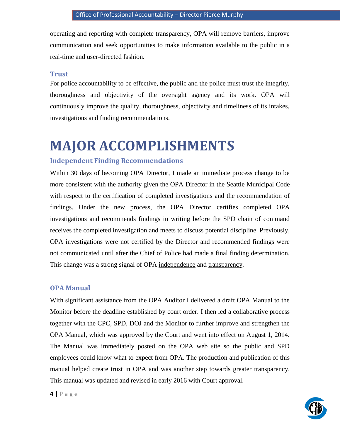operating and reporting with complete transparency, OPA will remove barriers, improve communication and seek opportunities to make information available to the public in a real-time and user-directed fashion.

### <span id="page-7-0"></span>**Trust**

For police accountability to be effective, the public and the police must trust the integrity, thoroughness and objectivity of the oversight agency and its work. OPA will continuously improve the quality, thoroughness, objectivity and timeliness of its intakes, investigations and finding recommendations.

## <span id="page-7-1"></span>**MAJOR ACCOMPLISHMENTS**

## <span id="page-7-2"></span>**Independent Finding Recommendations**

Within 30 days of becoming OPA Director, I made an immediate process change to be more consistent with the authority given the OPA Director in the Seattle Municipal Code with respect to the certification of completed investigations and the recommendation of findings. Under the new process, the OPA Director certifies completed OPA investigations and recommends findings in writing before the SPD chain of command receives the completed investigation and meets to discuss potential discipline. Previously, OPA investigations were not certified by the Director and recommended findings were not communicated until after the Chief of Police had made a final finding determination. This change was a strong signal of OPA independence and transparency.

## <span id="page-7-3"></span>**OPA Manual**

With significant assistance from the OPA Auditor I delivered a draft OPA Manual to the Monitor before the deadline established by court order. I then led a collaborative process together with the CPC, SPD, DOJ and the Monitor to further improve and strengthen the OPA Manual, which was approved by the Court and went into effect on August 1, 2014. The Manual was immediately posted on the OPA web site so the public and SPD employees could know what to expect from OPA. The production and publication of this manual helped create trust in OPA and was another step towards greater transparency. This manual was updated and revised in early 2016 with Court approval.

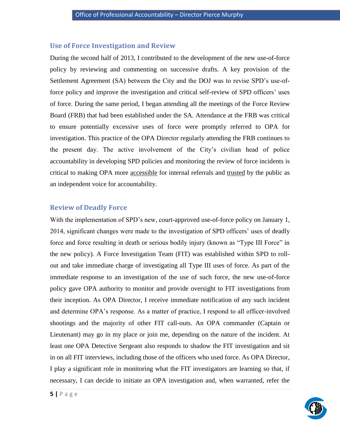### <span id="page-8-0"></span>**Use of Force Investigation and Review**

During the second half of 2013, I contributed to the development of the new use-of-force policy by reviewing and commenting on successive drafts. A key provision of the Settlement Agreement (SA) between the City and the DOJ was to revise SPD's use-offorce policy and improve the investigation and critical self-review of SPD officers' uses of force. During the same period, I began attending all the meetings of the Force Review Board (FRB) that had been established under the SA. Attendance at the FRB was critical to ensure potentially excessive uses of force were promptly referred to OPA for investigation. This practice of the OPA Director regularly attending the FRB continues to the present day. The active involvement of the City's civilian head of police accountability in developing SPD policies and monitoring the review of force incidents is critical to making OPA more accessible for internal referrals and trusted by the public as an independent voice for accountability.

## <span id="page-8-1"></span>**Review of Deadly Force**

With the implementation of SPD's new, court-approved use-of-force policy on January 1, 2014, significant changes were made to the investigation of SPD officers' uses of deadly force and force resulting in death or serious bodily injury (known as "Type III Force" in the new policy). A Force Investigation Team (FIT) was established within SPD to rollout and take immediate charge of investigating all Type III uses of force. As part of the immediate response to an investigation of the use of such force, the new use-of-force policy gave OPA authority to monitor and provide oversight to FIT investigations from their inception. As OPA Director, I receive immediate notification of any such incident and determine OPA's response. As a matter of practice, I respond to all officer-involved shootings and the majority of other FIT call-outs. An OPA commander (Captain or Lieutenant) may go in my place or join me, depending on the nature of the incident. At least one OPA Detective Sergeant also responds to shadow the FIT investigation and sit in on all FIT interviews, including those of the officers who used force. As OPA Director, I play a significant role in monitoring what the FIT investigators are learning so that, if necessary, I can decide to initiate an OPA investigation and, when warranted, refer the

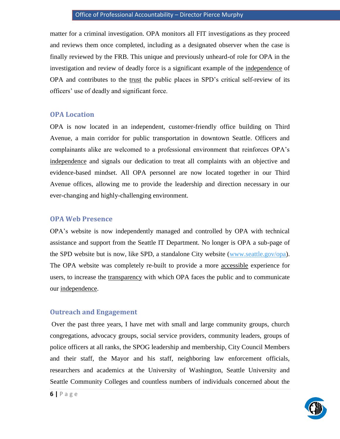#### Office of Professional Accountability – Director Pierce Murphy

matter for a criminal investigation. OPA monitors all FIT investigations as they proceed and reviews them once completed, including as a designated observer when the case is finally reviewed by the FRB. This unique and previously unheard-of role for OPA in the investigation and review of deadly force is a significant example of the independence of OPA and contributes to the trust the public places in SPD's critical self-review of its officers' use of deadly and significant force.

#### <span id="page-9-0"></span>**OPA Location**

OPA is now located in an independent, customer-friendly office building on Third Avenue, a main corridor for public transportation in downtown Seattle. Officers and complainants alike are welcomed to a professional environment that reinforces OPA's independence and signals our dedication to treat all complaints with an objective and evidence-based mindset. All OPA personnel are now located together in our Third Avenue offices, allowing me to provide the leadership and direction necessary in our ever-changing and highly-challenging environment.

#### <span id="page-9-1"></span>**OPA Web Presence**

OPA's website is now independently managed and controlled by OPA with technical assistance and support from the Seattle IT Department. No longer is OPA a sub-page of the SPD website but is now, like SPD, a standalone City website [\(www.seattle.gov/opa\)](http://www.seattle.gov/opa). The OPA website was completely re-built to provide a more accessible experience for users, to increase the transparency with which OPA faces the public and to communicate our independence.

### <span id="page-9-2"></span>**Outreach and Engagement**

Over the past three years, I have met with small and large community groups, church congregations, advocacy groups, social service providers, community leaders, groups of police officers at all ranks, the SPOG leadership and membership, City Council Members and their staff, the Mayor and his staff, neighboring law enforcement officials, researchers and academics at the University of Washington, Seattle University and Seattle Community Colleges and countless numbers of individuals concerned about the

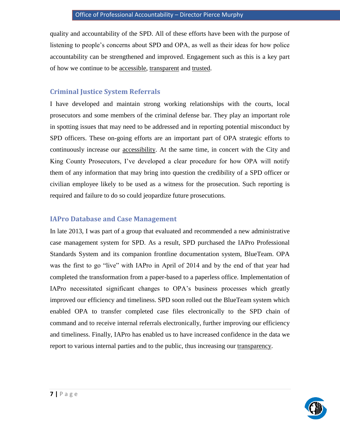quality and accountability of the SPD. All of these efforts have been with the purpose of listening to people's concerns about SPD and OPA, as well as their ideas for how police accountability can be strengthened and improved. Engagement such as this is a key part of how we continue to be accessible, transparent and trusted.

## <span id="page-10-0"></span>**Criminal Justice System Referrals**

I have developed and maintain strong working relationships with the courts, local prosecutors and some members of the criminal defense bar. They play an important role in spotting issues that may need to be addressed and in reporting potential misconduct by SPD officers. These on-going efforts are an important part of OPA strategic efforts to continuously increase our accessibility. At the same time, in concert with the City and King County Prosecutors, I've developed a clear procedure for how OPA will notify them of any information that may bring into question the credibility of a SPD officer or civilian employee likely to be used as a witness for the prosecution. Such reporting is required and failure to do so could jeopardize future prosecutions.

## <span id="page-10-1"></span>**IAPro Database and Case Management**

In late 2013, I was part of a group that evaluated and recommended a new administrative case management system for SPD. As a result, SPD purchased the IAPro Professional Standards System and its companion frontline documentation system, BlueTeam. OPA was the first to go "live" with IAPro in April of 2014 and by the end of that year had completed the transformation from a paper-based to a paperless office. Implementation of IAPro necessitated significant changes to OPA's business processes which greatly improved our efficiency and timeliness. SPD soon rolled out the BlueTeam system which enabled OPA to transfer completed case files electronically to the SPD chain of command and to receive internal referrals electronically, further improving our efficiency and timeliness. Finally, IAPro has enabled us to have increased confidence in the data we report to various internal parties and to the public, thus increasing our transparency.

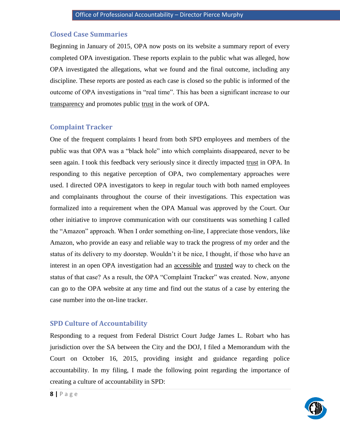## <span id="page-11-0"></span>**Closed Case Summaries**

Beginning in January of 2015, OPA now posts on its website a summary report of every completed OPA investigation. These reports explain to the public what was alleged, how OPA investigated the allegations, what we found and the final outcome, including any discipline. These reports are posted as each case is closed so the public is informed of the outcome of OPA investigations in "real time". This has been a significant increase to our transparency and promotes public trust in the work of OPA.

## <span id="page-11-1"></span>**Complaint Tracker**

One of the frequent complaints I heard from both SPD employees and members of the public was that OPA was a "black hole" into which complaints disappeared, never to be seen again. I took this feedback very seriously since it directly impacted trust in OPA. In responding to this negative perception of OPA, two complementary approaches were used. I directed OPA investigators to keep in regular touch with both named employees and complainants throughout the course of their investigations. This expectation was formalized into a requirement when the OPA Manual was approved by the Court. Our other initiative to improve communication with our constituents was something I called the "Amazon" approach. When I order something on-line, I appreciate those vendors, like Amazon, who provide an easy and reliable way to track the progress of my order and the status of its delivery to my doorstep. Wouldn't it be nice, I thought, if those who have an interest in an open OPA investigation had an accessible and trusted way to check on the status of that case? As a result, the OPA "Complaint Tracker" was created. Now, anyone can go to the OPA website at any time and find out the status of a case by entering the case number into the on-line tracker.

## <span id="page-11-2"></span>**SPD Culture of Accountability**

Responding to a request from Federal District Court Judge James L. Robart who has jurisdiction over the SA between the City and the DOJ, I filed a Memorandum with the Court on October 16, 2015, providing insight and guidance regarding police accountability. In my filing, I made the following point regarding the importance of creating a culture of accountability in SPD: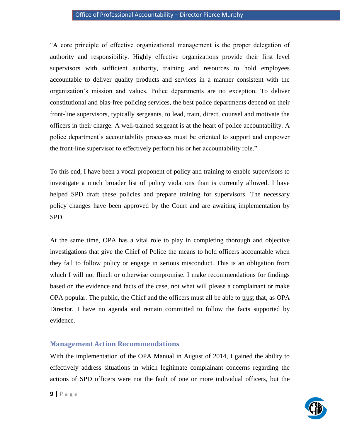"A core principle of effective organizational management is the proper delegation of authority and responsibility. Highly effective organizations provide their first level supervisors with sufficient authority, training and resources to hold employees accountable to deliver quality products and services in a manner consistent with the organization's mission and values. Police departments are no exception. To deliver constitutional and bias-free policing services, the best police departments depend on their front-line supervisors, typically sergeants, to lead, train, direct, counsel and motivate the officers in their charge. A well-trained sergeant is at the heart of police accountability. A police department's accountability processes must be oriented to support and empower the front-line supervisor to effectively perform his or her accountability role."

To this end, I have been a vocal proponent of policy and training to enable supervisors to investigate a much broader list of policy violations than is currently allowed. I have helped SPD draft these policies and prepare training for supervisors. The necessary policy changes have been approved by the Court and are awaiting implementation by SPD.

At the same time, OPA has a vital role to play in completing thorough and objective investigations that give the Chief of Police the means to hold officers accountable when they fail to follow policy or engage in serious misconduct. This is an obligation from which I will not flinch or otherwise compromise. I make recommendations for findings based on the evidence and facts of the case, not what will please a complainant or make OPA popular. The public, the Chief and the officers must all be able to trust that, as OPA Director, I have no agenda and remain committed to follow the facts supported by evidence.

## <span id="page-12-0"></span>**Management Action Recommendations**

With the implementation of the OPA Manual in August of 2014, I gained the ability to effectively address situations in which legitimate complainant concerns regarding the actions of SPD officers were not the fault of one or more individual officers, but the

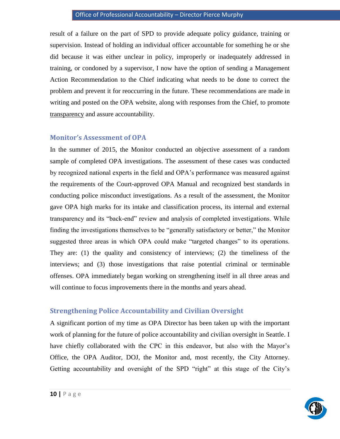### Office of Professional Accountability – Director Pierce Murphy

result of a failure on the part of SPD to provide adequate policy guidance, training or supervision. Instead of holding an individual officer accountable for something he or she did because it was either unclear in policy, improperly or inadequately addressed in training, or condoned by a supervisor, I now have the option of sending a Management Action Recommendation to the Chief indicating what needs to be done to correct the problem and prevent it for reoccurring in the future. These recommendations are made in writing and posted on the OPA website, along with responses from the Chief, to promote transparency and assure accountability.

### <span id="page-13-0"></span>**Monitor's Assessment of OPA**

In the summer of 2015, the Monitor conducted an objective assessment of a random sample of completed OPA investigations. The assessment of these cases was conducted by recognized national experts in the field and OPA's performance was measured against the requirements of the Court-approved OPA Manual and recognized best standards in conducting police misconduct investigations. As a result of the assessment, the Monitor gave OPA high marks for its intake and classification process, its internal and external transparency and its "back-end" review and analysis of completed investigations. While finding the investigations themselves to be "generally satisfactory or better," the Monitor suggested three areas in which OPA could make "targeted changes" to its operations. They are: (1) the quality and consistency of interviews; (2) the timeliness of the interviews; and (3) those investigations that raise potential criminal or terminable offenses. OPA immediately began working on strengthening itself in all three areas and will continue to focus improvements there in the months and years ahead.

## <span id="page-13-1"></span>**Strengthening Police Accountability and Civilian Oversight**

A significant portion of my time as OPA Director has been taken up with the important work of planning for the future of police accountability and civilian oversight in Seattle. I have chiefly collaborated with the CPC in this endeavor, but also with the Mayor's Office, the OPA Auditor, DOJ, the Monitor and, most recently, the City Attorney. Getting accountability and oversight of the SPD "right" at this stage of the City's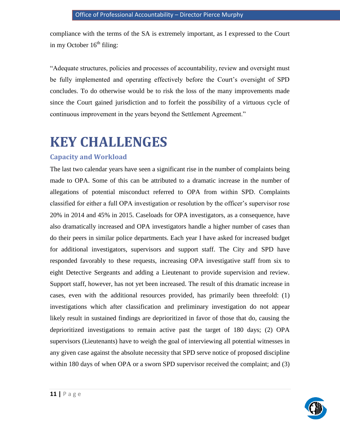compliance with the terms of the SA is extremely important, as I expressed to the Court in my October  $16<sup>th</sup>$  filing:

"Adequate structures, policies and processes of accountability, review and oversight must be fully implemented and operating effectively before the Court's oversight of SPD concludes. To do otherwise would be to risk the loss of the many improvements made since the Court gained jurisdiction and to forfeit the possibility of a virtuous cycle of continuous improvement in the years beyond the Settlement Agreement."

## <span id="page-14-0"></span>**KEY CHALLENGES**

## <span id="page-14-1"></span>**Capacity and Workload**

The last two calendar years have seen a significant rise in the number of complaints being made to OPA. Some of this can be attributed to a dramatic increase in the number of allegations of potential misconduct referred to OPA from within SPD. Complaints classified for either a full OPA investigation or resolution by the officer's supervisor rose 20% in 2014 and 45% in 2015. Caseloads for OPA investigators, as a consequence, have also dramatically increased and OPA investigators handle a higher number of cases than do their peers in similar police departments. Each year I have asked for increased budget for additional investigators, supervisors and support staff. The City and SPD have responded favorably to these requests, increasing OPA investigative staff from six to eight Detective Sergeants and adding a Lieutenant to provide supervision and review. Support staff, however, has not yet been increased. The result of this dramatic increase in cases, even with the additional resources provided, has primarily been threefold: (1) investigations which after classification and preliminary investigation do not appear likely result in sustained findings are deprioritized in favor of those that do, causing the deprioritized investigations to remain active past the target of 180 days; (2) OPA supervisors (Lieutenants) have to weigh the goal of interviewing all potential witnesses in any given case against the absolute necessity that SPD serve notice of proposed discipline within 180 days of when OPA or a sworn SPD supervisor received the complaint; and (3)

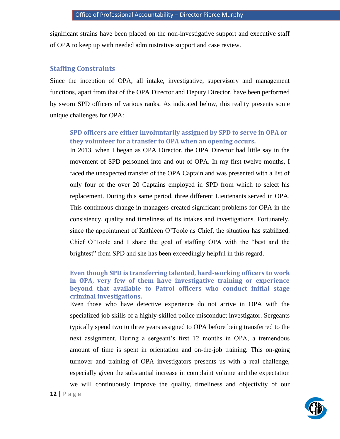significant strains have been placed on the non-investigative support and executive staff of OPA to keep up with needed administrative support and case review.

#### <span id="page-15-0"></span>**Staffing Constraints**

Since the inception of OPA, all intake, investigative, supervisory and management functions, apart from that of the OPA Director and Deputy Director, have been performed by sworn SPD officers of various ranks. As indicated below, this reality presents some unique challenges for OPA:

## **SPD officers are either involuntarily assigned by SPD to serve in OPA or they volunteer for a transfer to OPA when an opening occurs.**

In 2013, when I began as OPA Director, the OPA Director had little say in the movement of SPD personnel into and out of OPA. In my first twelve months, I faced the unexpected transfer of the OPA Captain and was presented with a list of only four of the over 20 Captains employed in SPD from which to select his replacement. During this same period, three different Lieutenants served in OPA. This continuous change in managers created significant problems for OPA in the consistency, quality and timeliness of its intakes and investigations. Fortunately, since the appointment of Kathleen O'Toole as Chief, the situation has stabilized. Chief O'Toole and I share the goal of staffing OPA with the "best and the brightest" from SPD and she has been exceedingly helpful in this regard.

#### **Even though SPD is transferring talented, hard-working officers to work in OPA, very few of them have investigative training or experience beyond that available to Patrol officers who conduct initial stage criminal investigations.**

Even those who have detective experience do not arrive in OPA with the specialized job skills of a highly-skilled police misconduct investigator. Sergeants typically spend two to three years assigned to OPA before being transferred to the next assignment. During a sergeant's first 12 months in OPA, a tremendous amount of time is spent in orientation and on-the-job training. This on-going turnover and training of OPA investigators presents us with a real challenge, especially given the substantial increase in complaint volume and the expectation we will continuously improve the quality, timeliness and objectivity of our

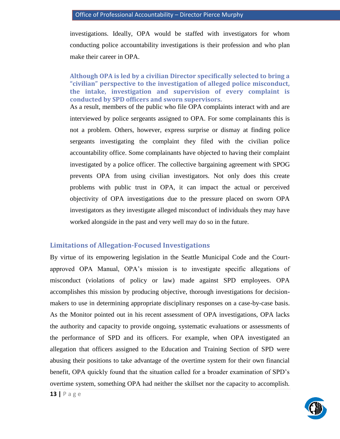investigations. Ideally, OPA would be staffed with investigators for whom conducting police accountability investigations is their profession and who plan make their career in OPA.

#### **Although OPA is led by a civilian Director specifically selected to bring a "civilian" perspective to the investigation of alleged police misconduct, the intake, investigation and supervision of every complaint is conducted by SPD officers and sworn supervisors.**

As a result, members of the public who file OPA complaints interact with and are interviewed by police sergeants assigned to OPA. For some complainants this is not a problem. Others, however, express surprise or dismay at finding police sergeants investigating the complaint they filed with the civilian police accountability office. Some complainants have objected to having their complaint investigated by a police officer. The collective bargaining agreement with SPOG prevents OPA from using civilian investigators. Not only does this create problems with public trust in OPA, it can impact the actual or perceived objectivity of OPA investigations due to the pressure placed on sworn OPA investigators as they investigate alleged misconduct of individuals they may have worked alongside in the past and very well may do so in the future.

## <span id="page-16-0"></span>**Limitations of Allegation-Focused Investigations**

By virtue of its empowering legislation in the Seattle Municipal Code and the Courtapproved OPA Manual, OPA's mission is to investigate specific allegations of misconduct (violations of policy or law) made against SPD employees. OPA accomplishes this mission by producing objective, thorough investigations for decisionmakers to use in determining appropriate disciplinary responses on a case-by-case basis. As the Monitor pointed out in his recent assessment of OPA investigations, OPA lacks the authority and capacity to provide ongoing, systematic evaluations or assessments of the performance of SPD and its officers. For example, when OPA investigated an allegation that officers assigned to the Education and Training Section of SPD were abusing their positions to take advantage of the overtime system for their own financial benefit, OPA quickly found that the situation called for a broader examination of SPD's overtime system, something OPA had neither the skillset nor the capacity to accomplish.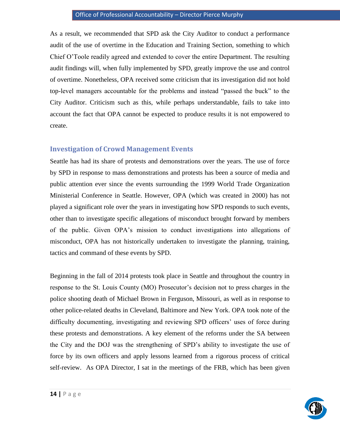### Office of Professional Accountability – Director Pierce Murphy

As a result, we recommended that SPD ask the City Auditor to conduct a performance audit of the use of overtime in the Education and Training Section, something to which Chief O'Toole readily agreed and extended to cover the entire Department. The resulting audit findings will, when fully implemented by SPD, greatly improve the use and control of overtime. Nonetheless, OPA received some criticism that its investigation did not hold top-level managers accountable for the problems and instead "passed the buck" to the City Auditor. Criticism such as this, while perhaps understandable, fails to take into account the fact that OPA cannot be expected to produce results it is not empowered to create.

### <span id="page-17-0"></span>**Investigation of Crowd Management Events**

Seattle has had its share of protests and demonstrations over the years. The use of force by SPD in response to mass demonstrations and protests has been a source of media and public attention ever since the events surrounding the 1999 World Trade Organization Ministerial Conference in Seattle. However, OPA (which was created in 2000) has not played a significant role over the years in investigating how SPD responds to such events, other than to investigate specific allegations of misconduct brought forward by members of the public. Given OPA's mission to conduct investigations into allegations of misconduct, OPA has not historically undertaken to investigate the planning, training, tactics and command of these events by SPD.

Beginning in the fall of 2014 protests took place in Seattle and throughout the country in response to the St. Louis County (MO) Prosecutor's decision not to press charges in the police shooting death of Michael Brown in Ferguson, Missouri, as well as in response to other police-related deaths in Cleveland, Baltimore and New York. OPA took note of the difficulty documenting, investigating and reviewing SPD officers' uses of force during these protests and demonstrations. A key element of the reforms under the SA between the City and the DOJ was the strengthening of SPD's ability to investigate the use of force by its own officers and apply lessons learned from a rigorous process of critical self-review. As OPA Director, I sat in the meetings of the FRB, which has been given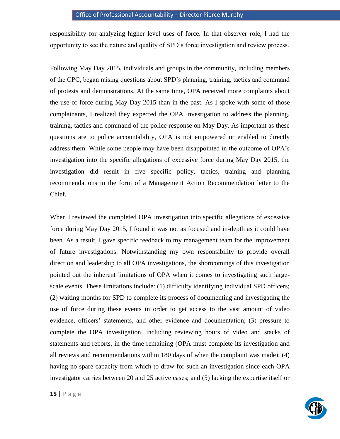responsibility for analyzing higher level uses of force. In that observer role, I had the opportunity to see the nature and quality of SPD's force investigation and review process.

Following May Day 2015, individuals and groups in the community, including members of the CPC, began raising questions about SPD's planning, training, tactics and command of protests and demonstrations. At the same time, OPA received more complaints about the use of force during May Day 2015 than in the past. As I spoke with some of those complainants, I realized they expected the OPA investigation to address the planning, training, tactics and command of the police response on May Day. As important as these questions are to police accountability, OPA is not empowered or enabled to directly address them. While some people may have been disappointed in the outcome of OPA's investigation into the specific allegations of excessive force during May Day 2015, the investigation did result in five specific policy, tactics, training and planning recommendations in the form of a Management Action Recommendation letter to the Chief.

When I reviewed the completed OPA investigation into specific allegations of excessive force during May Day 2015, I found it was not as focused and in-depth as it could have been. As a result, I gave specific feedback to my management team for the improvement of future investigations. Notwithstanding my own responsibility to provide overall direction and leadership to all OPA investigations, the shortcomings of this investigation pointed out the inherent limitations of OPA when it comes to investigating such largescale events. These limitations include: (1) difficulty identifying individual SPD officers; (2) waiting months for SPD to complete its process of documenting and investigating the use of force during these events in order to get access to the vast amount of video evidence, officers' statements, and other evidence and documentation; (3) pressure to complete the OPA investigation, including reviewing hours of video and stacks of statements and reports, in the time remaining (OPA must complete its investigation and all reviews and recommendations within 180 days of when the complaint was made); (4) having no spare capacity from which to draw for such an investigation since each OPA investigator carries between 20 and 25 active cases; and (5) lacking the expertise itself or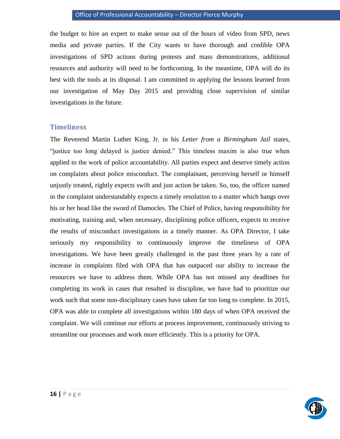the budget to hire an expert to make sense out of the hours of video from SPD, news media and private parties. If the City wants to have thorough and credible OPA investigations of SPD actions during protests and mass demonstrations, additional resources and authority will need to be forthcoming. In the meantime, OPA will do its best with the tools at its disposal. I am committed to applying the lessons learned from our investigation of May Day 2015 and providing close supervision of similar investigations in the future.

### <span id="page-19-0"></span>**Timeliness**

The Reverend Martin Luther King, Jr. in his *Letter from a Birmingham Jail* states, "justice too long delayed is justice denied." This timeless maxim is also true when applied to the work of police accountability. All parties expect and deserve timely action on complaints about police misconduct. The complainant, perceiving herself or himself unjustly treated, rightly expects swift and just action be taken. So, too, the officer named in the complaint understandably expects a timely resolution to a matter which hangs over his or her head like the sword of Damocles. The Chief of Police, having responsibility for motivating, training and, when necessary, disciplining police officers, expects to receive the results of misconduct investigations in a timely manner. As OPA Director, I take seriously my responsibility to continuously improve the timeliness of OPA investigations. We have been greatly challenged in the past three years by a rate of increase in complaints filed with OPA that has outpaced our ability to increase the resources we have to address them. While OPA has not missed any deadlines for completing its work in cases that resulted in discipline, we have had to prioritize our work such that some non-disciplinary cases have taken far too long to complete. In 2015, OPA was able to complete all investigations within 180 days of when OPA received the complaint. We will continue our efforts at process improvement, continuously striving to streamline our processes and work more efficiently. This is a priority for OPA.

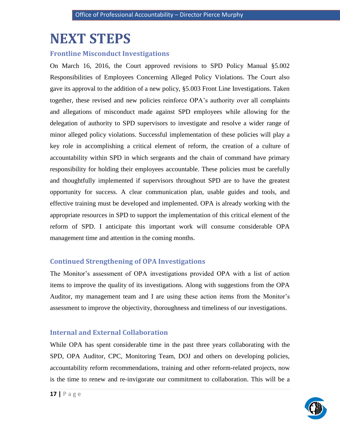## <span id="page-20-0"></span>**NEXT STEPS**

## <span id="page-20-1"></span>**Frontline Misconduct Investigations**

On March 16, 2016, the Court approved revisions to SPD Policy Manual §5.002 Responsibilities of Employees Concerning Alleged Policy Violations. The Court also gave its approval to the addition of a new policy, §5.003 Front Line Investigations. Taken together, these revised and new policies reinforce OPA's authority over all complaints and allegations of misconduct made against SPD employees while allowing for the delegation of authority to SPD supervisors to investigate and resolve a wider range of minor alleged policy violations. Successful implementation of these policies will play a key role in accomplishing a critical element of reform, the creation of a culture of accountability within SPD in which sergeants and the chain of command have primary responsibility for holding their employees accountable. These policies must be carefully and thoughtfully implemented if supervisors throughout SPD are to have the greatest opportunity for success. A clear communication plan, usable guides and tools, and effective training must be developed and implemented. OPA is already working with the appropriate resources in SPD to support the implementation of this critical element of the reform of SPD. I anticipate this important work will consume considerable OPA management time and attention in the coming months.

## <span id="page-20-2"></span>**Continued Strengthening of OPA Investigations**

The Monitor's assessment of OPA investigations provided OPA with a list of action items to improve the quality of its investigations. Along with suggestions from the OPA Auditor, my management team and I are using these action items from the Monitor's assessment to improve the objectivity, thoroughness and timeliness of our investigations.

## <span id="page-20-3"></span>**Internal and External Collaboration**

While OPA has spent considerable time in the past three years collaborating with the SPD, OPA Auditor, CPC, Monitoring Team, DOJ and others on developing policies, accountability reform recommendations, training and other reform-related projects, now is the time to renew and re-invigorate our commitment to collaboration. This will be a